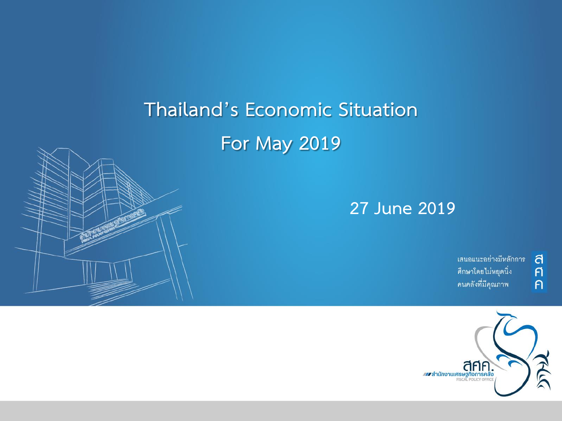# **Thailand's Economic Situation For May 2019**



้เสนอแนะอย่างมีหลักการ ศึกษาโดยไม่หยุดนิ่ง คนคลังที่มีคุณภาพ

ิ<br>ศิ

 $\overline{P}$ 

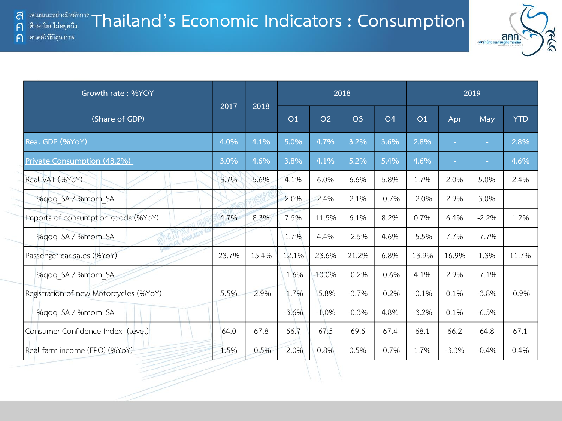

| Growth rate: %YOY                      |       |         |                |                | 2018           |                |         |         | 2019    |            |
|----------------------------------------|-------|---------|----------------|----------------|----------------|----------------|---------|---------|---------|------------|
| (Share of GDP)                         | 2017  | 2018    | Q <sub>1</sub> | Q <sub>2</sub> | Q <sub>3</sub> | Q <sub>4</sub> | Q1      | Apr     | May     | <b>YTD</b> |
| Real GDP (%YoY)                        | 4.0%  | 4.1%    | 5.0%           | 4.7%           | 3.2%           | 3.6%           | 2.8%    | $\sim$  | ٠       | 2.8%       |
| Private Consumption (48.2%)            | 3.0%  | 4.6%    | 3.8%           | 4.1%           | 5.2%           | 5.4%           | 4.6%    | $\sim$  |         | 4.6%       |
| Real VAT (%YoY)                        | 3.7%  | 5.6%    | 4.1%           | 6.0%           | 6.6%           | 5.8%           | 1.7%    | 2.0%    | 5.0%    | 2.4%       |
| %gog SA / %mom SA                      |       |         | 2.0%           | 2.4%           | 2.1%           | $-0.7%$        | $-2.0%$ | 2.9%    | 3.0%    |            |
| Imports of consumption goods (%YoY)    | 4.7%  | 8.3%    | 7.5%           | 11.5%          | 6.1%           | 8.2%           | 0.7%    | 6.4%    | $-2.2%$ | 1.2%       |
| POLICY<br>%gog SA / %mom SA            |       |         | 1.7%           | 4.4%           | $-2.5%$        | 4.6%           | $-5.5%$ | 7.7%    | $-7.7%$ |            |
| Passenger car sales (%YoY)             | 23.7% | 15.4%   | 12.1%          | 23.6%          | 21.2%          | 6.8%           | 13.9%   | 16.9%   | 1.3%    | 11.7%      |
| %qoq SA / %mom SA                      |       |         | $-1.6%$        | 10.0%          | $-0.2%$        | $-0.6%$        | 4.1%    | 2.9%    | $-7.1%$ |            |
| Registration of new Motorcycles (%YoY) | 5.5%  | $-2.9%$ | $-1.7%$        | $-5.8%$        | $-3.7%$        | $-0.2%$        | $-0.1%$ | 0.1%    | $-3.8%$ | $-0.9%$    |
| %gog SA / %mom SA                      |       |         | $-3.6%$        | $-1.0%$        | $-0.3%$        | 4.8%           | $-3.2%$ | 0.1%    | $-6.5%$ |            |
| Consumer Confidence Index (level)      | 64.0  | 67.8    | 66.7           | 67.5           | 69.6           | 67.4           | 68.1    | 66.2    | 64.8    | 67.1       |
| Real farm income (FPO) (%YoY)          | 1.5%  | $-0.5%$ | $-2.0%$        | 0.8%           | 0.5%           | $-0.7%$        | 1.7%    | $-3.3%$ | $-0.4%$ | 0.4%       |

ส  $\mathsf{F}$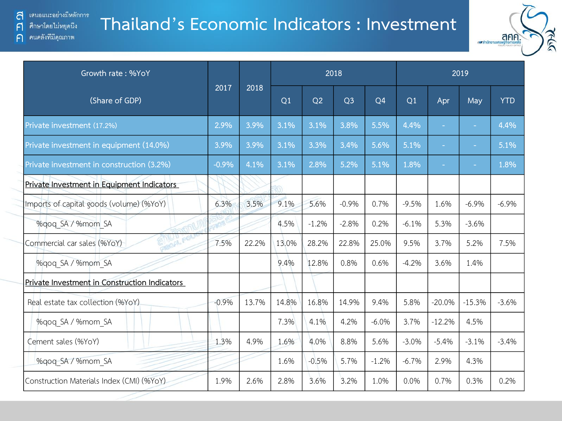ิคนคลังที่มีคุณภาพ

 $\bigcap$ 

#### **Thailand's Economic Indicators : Investment**



| Growth rate: %YoY                             |         |       |       |         | 2018           |                |         |                          | 2019     |            |
|-----------------------------------------------|---------|-------|-------|---------|----------------|----------------|---------|--------------------------|----------|------------|
| (Share of GDP)                                | 2017    | 2018  | Q1    | Q2      | Q <sub>3</sub> | Q <sub>4</sub> | Q1      | Apr                      | May      | <b>YTD</b> |
| Private investment (17.2%)                    | 2.9%    | 3.9%  | 3.1%  | 3.1%    | 3.8%           | 5.5%           | 4.4%    | $\overline{\phantom{a}}$ | $\sim$   | 4.4%       |
| Private investment in equipment (14.0%)       | 3.9%    | 3.9%  | 3.1%  | 3.3%    | 3.4%           | 5.6%           | 5.1%    | $\sim$                   |          | 5.1%       |
| Private investment in construction (3.2%)     | $-0.9%$ | 4.1%  | 3.1%  | 2.8%    | 5.2%           | 5.1%           | 1.8%    |                          |          | 1.8%       |
| Private Investment in Equipment Indicators    |         |       |       |         |                |                |         |                          |          |            |
| Imports of capital goods (volume) (%YoY)      | 6.3%    | 3.5%  | 9.1%  | 5.6%    | $-0.9%$        | 0.7%           | $-9.5%$ | 1.6%                     | $-6.9%$  | $-6.9%$    |
| %gog SA / %mom SA                             |         |       | 4.5%  | $-1.2%$ | $-2.8%$        | 0.2%           | $-6.1%$ | 5.3%                     | $-3.6%$  |            |
| Commercial car sales (%YoY)                   | 7.5%    | 22.2% | 13.0% | 28.2%   | 22.8%          | 25.0%          | 9.5%    | 3.7%                     | 5.2%     | 7.5%       |
| %qoq SA / %mom SA                             |         |       | 9.4%  | 12.8%   | 0.8%           | 0.6%           | $-4.2%$ | 3.6%                     | 1.4%     |            |
| Private Investment in Construction Indicators |         |       |       |         |                |                |         |                          |          |            |
| Real estate tax collection (%YoY)             | $-0.9%$ | 13.7% | 14.8% | 16.8%   | 14.9%          | 9.4%           | 5.8%    | $-20.0%$                 | $-15.3%$ | $-3.6%$    |
| %qoq SA / %mom SA                             |         |       | 7.3%  | 4.1%    | 4.2%           | $-6.0%$        | 3.7%    | $-12.2%$                 | 4.5%     |            |
| Cement sales (%YoY)                           | 1.3%    | 4.9%  | 1.6%  | 4.0%    | 8.8%           | 5.6%           | $-3.0%$ | $-5.4%$                  | $-3.1%$  | $-3.4%$    |
| %gog SA / %mom SA                             |         |       | 1.6%  | $-0.5%$ | 5.7%           | $-1.2%$        | $-6.7%$ | 2.9%                     | 4.3%     |            |
| Construction Materials Index (CMI) (%YoY)     | 1.9%    | 2.6%  | 2.8%  | 3.6%    | 3.2%           | 1.0%           | 0.0%    | 0.7%                     | 0.3%     | 0.2%       |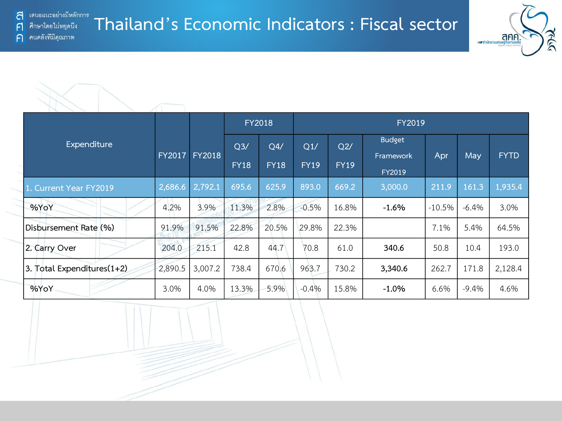F

 $\bigcap$ 

#### **Thailand's Economic Indicators : Fiscal sector** ศึกษาโดยไม่หยุดนี้ง คนคลังที่มีคุณภาพ



|                            |         |               |                | <b>FY2018</b> |             |             | FY2019              |          |          |             |
|----------------------------|---------|---------------|----------------|---------------|-------------|-------------|---------------------|----------|----------|-------------|
| Expenditure                |         |               | Q <sub>3</sub> | Q4/           | Q1/         | Q2/         | <b>Budget</b>       |          |          |             |
|                            | FY2017  | <b>FY2018</b> | <b>FY18</b>    | <b>FY18</b>   | <b>FY19</b> | <b>FY19</b> | Framework<br>FY2019 | Apr      | May      | <b>FYTD</b> |
| 1. Current Year FY2019     | 2,686.6 | 2,792.1       | 695.6          | 625.9         | 893.0       | 669.2       | 3,000.0             | 211.9    | 161.3    | 1,935.4     |
| %YoY                       | 4.2%    | 3.9%          | 11.3%          | 2.8%          | $-0.5%$     | 16.8%       | $-1.6%$             | $-10.5%$ | $-6.4%$  | 3.0%        |
| Disbursement Rate (%)      | 91.9%   | 91.5%         | 22.8%          | 20.5%         | 29.8%       | 22.3%       |                     | 7.1%     | 5.4%     | 64.5%       |
| 2. Carry Over              | 204.0   | 215.1         | 42.8           | 44.7          | 70.8        | 61.0        | 340.6               | 50.8     | 10.4     | 193.0       |
| 3. Total Expenditures(1+2) | 2,890.5 | 3,007.2       | 738.4          | 670.6         | 963.7       | 730.2       | 3,340.6             | 262.7    | 171.8    | 2,128.4     |
| %YoY                       | 3.0%    | 4.0%          | 13.3%          | 5.9%          | $-0.4%$     | 15.8%       | $-1.0\%$            | 6.6%     | $-9.4\%$ | 4.6%        |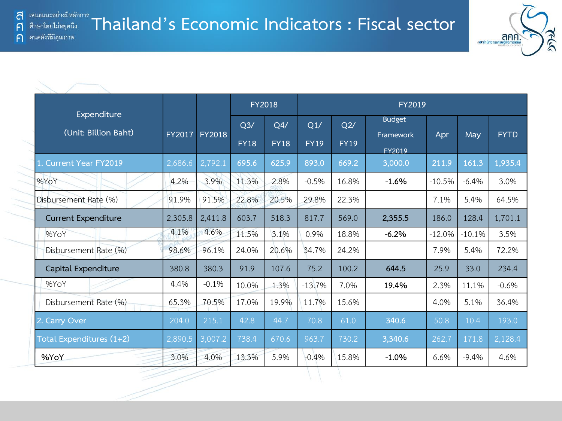F

 $\bigcap$ 



|                                     |               |               |                    | <b>FY2018</b>      |                    |                    | FY2019                     |          |          |             |
|-------------------------------------|---------------|---------------|--------------------|--------------------|--------------------|--------------------|----------------------------|----------|----------|-------------|
| Expenditure<br>(Unit: Billion Baht) | <b>FY2017</b> | <b>FY2018</b> | Q3/<br><b>FY18</b> | Q4/<br><b>FY18</b> | Q1/<br><b>FY19</b> | Q2/<br><b>FY19</b> | <b>Budget</b><br>Framework | Apr      | May      | <b>FYTD</b> |
| Current Year FY2019                 | 2,686.6       | 2,792.1       | 695.6              | 625.9              | 893.0              | 669.2              | FY2019<br>3,000.0          | 211.9    | 161.3    | 1,935.4     |
| %YoY                                | 4.2%          | 3.9%          | 11.3%              | 2.8%               | $-0.5%$            | 16.8%              | $-1.6%$                    | $-10.5%$ | $-6.4%$  | 3.0%        |
| Disbursement Rate (%)               | 91.9%         | 91.5%         | 22.8%              | 20.5%              | 29.8%              | 22.3%              |                            | 7.1%     | 5.4%     | 64.5%       |
| <b>Current Expenditure</b>          | 2,305.8       | 2,411.8       | 603.7              | 518.3              | 817.7              | 569.0              | 2,355.5                    | 186.0    | 128.4    | 1,701.1     |
| %YoY                                | 4.1%          | 4.6%          | 11.5%              | 3.1%               | 0.9%               | 18.8%              | $-6.2%$                    | $-12.0%$ | $-10.1%$ | 3.5%        |
| Disbursement Rate (%)               | 98.6%         | 96.1%         | 24.0%              | 20.6%              | 34.7%              | 24.2%              |                            | 7.9%     | 5.4%     | 72.2%       |
| Capital Expenditure                 | 380.8         | 380.3         | 91.9               | 107.6              | 75.2               | 100.2              | 644.5                      | 25.9     | 33.0     | 234.4       |
| %YoY                                | 4.4%          | $-0.1%$       | 10.0%              | 1.3%               | $-13.7%$           | 7.0%               | 19.4%                      | 2.3%     | 11.1%    | $-0.6%$     |
| Disbursement Rate (%)               | 65.3%         | 70.5%         | 17.0%              | 19.9%              | 11.7%              | 15.6%              |                            | 4.0%     | 5.1%     | 36.4%       |
| 2. Carry Over                       | 204.0         | 215.1         | 42.8               | 44.7               | 70.8               | 61.0               | 340.6                      | 50.8     | 10.4     | 193.0       |
| Total Expenditures (1+2)            | 2,890.5       | 3,007.2       | 738.4              | 670.6              | 963.7              | 730.2              | 3,340.6                    | 262.7    | 171.8    | 2,128.4     |
| %YoY                                | 3.0%          | 4.0%          | 13.3%              | 5.9%               | $-0.4%$            | 15.8%              | $-1.0%$                    | 6.6%     | $-9.4%$  | 4.6%        |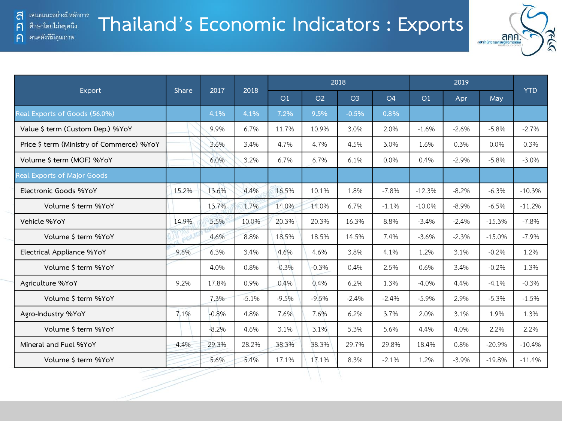$\bigcap$ 

คนคลังที่มีคุณภาพ

## **Thailand's Economic Indicators : Exports**



|                                           | Share | 2017    | 2018    |         |                | 2018           |           |          | 2019    |          | <b>YTD</b> |
|-------------------------------------------|-------|---------|---------|---------|----------------|----------------|-----------|----------|---------|----------|------------|
| Export                                    |       |         |         | Q1      | O <sub>2</sub> | Q <sub>3</sub> | <b>O4</b> | Q1       | Apr     | May      |            |
| Real Exports of Goods (56.0%)             |       | 4.1%    | 4.1%    | 7.2%    | 9.5%           | $-0.5%$        | 0.8%      |          |         |          |            |
| Value \$ term (Custom Dep.) %YoY          |       | 9.9%    | 6.7%    | 11.7%   | 10.9%          | 3.0%           | 2.0%      | $-1.6%$  | $-2.6%$ | $-5.8%$  | $-2.7%$    |
| Price \$ term (Ministry of Commerce) %YoY |       | 3.6%    | 3.4%    | 4.7%    | 4.7%           | 4.5%           | 3.0%      | 1.6%     | 0.3%    | 0.0%     | 0.3%       |
| Volume \$ term (MOF) %YoY                 |       | 6.0%    | 3.2%    | 6.7%    | 6.7%           | 6.1%           | 0.0%      | 0.4%     | $-2.9%$ | $-5.8%$  | $-3.0%$    |
| Real Exports of Major Goods               |       |         |         |         |                |                |           |          |         |          |            |
| Electronic Goods %YoY                     | 15.2% | 13.6%   | 4.4%    | 16.5%   | 10.1%          | 1.8%           | $-7.8%$   | $-12.3%$ | $-8.2%$ | $-6.3%$  | $-10.3%$   |
| Volume \$ term %YoY                       |       | 13.7%   | 1.7%    | 14.0%   | 14.0%          | 6.7%           | $-1.1%$   | $-10.0%$ | $-8.9%$ | $-6.5%$  | $-11.2%$   |
| Vehicle %YoY                              | 14.9% | 5.5%    | 10.0%   | 20.3%   | 20.3%          | 16.3%          | 8.8%      | $-3.4%$  | $-2.4%$ | $-15.3%$ | $-7.8%$    |
| Volume \$ term %YoY                       |       | 4.6%    | 8.8%    | 18.5%   | 18.5%          | 14.5%          | 7.4%      | $-3.6%$  | $-2.3%$ | $-15.0%$ | $-7.9%$    |
| Electrical Appliance %YoY                 | 9.6%  | 6.3%    | 3.4%    | 4.6%    | 4.6%           | 3.8%           | 4.1%      | 1.2%     | 3.1%    | $-0.2%$  | 1.2%       |
| Volume \$ term %YoY                       |       | 4.0%    | 0.8%    | $-0.3%$ | $-0.3%$        | 0.4%           | 2.5%      | 0.6%     | 3.4%    | $-0.2%$  | 1.3%       |
| Agriculture %YoY                          | 9.2%  | 17.8%   | 0.9%    | 0.4%    | 0.4%           | 6.2%           | 1.3%      | $-4.0%$  | 4.4%    | $-4.1%$  | $-0.3%$    |
| Volume \$ term %YoY                       |       | 7.3%    | $-5.1%$ | $-9.5%$ | $-9.5%$        | $-2.4%$        | $-2.4%$   | $-5.9%$  | 2.9%    | $-5.3%$  | $-1.5%$    |
| Agro-Industry %YoY                        | 7.1%  | $-0.8%$ | 4.8%    | 7.6%    | 7.6%           | 6.2%           | 3.7%      | 2.0%     | 3.1%    | 1.9%     | 1.3%       |
| Volume \$ term %YoY                       |       | $-8.2%$ | 4.6%    | 3.1%    | 3.1%           | 5.3%           | 5.6%      | 4.4%     | 4.0%    | 2.2%     | 2.2%       |
| Mineral and Fuel %YoY                     | 4.4%  | 29.3%   | 28.2%   | 38.3%   | 38.3%          | 29.7%          | 29.8%     | 18.4%    | 0.8%    | $-20.9%$ | $-10.4%$   |
| Volume \$ term %YoY                       |       | 5.6%    | 5.4%    | 17.1%   | 17.1%          | 8.3%           | $-2.1%$   | 1.2%     | $-3.9%$ | $-19.8%$ | $-11.4%$   |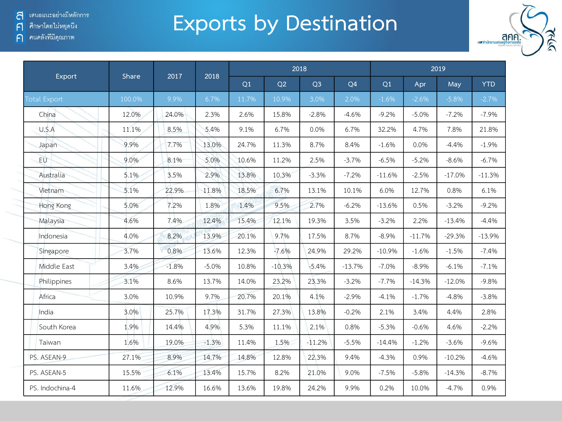้ เสนอแนะอย่างมีหลักการ a

์ ศึกษาโดยไม่หยุดนึง  $\mathsf{F}$ 

ค คนคลังที่มีคุณภาพ

## **Exports by Destination**



| Export              | Share  | 2017    | 2018    |       |          | 2018           |                |          |          | 2019     |            |
|---------------------|--------|---------|---------|-------|----------|----------------|----------------|----------|----------|----------|------------|
|                     |        |         |         | Q1    | Q2       | Q <sub>3</sub> | Q <sub>4</sub> | Q1       | Apr      | May      | <b>YTD</b> |
| <b>Total Export</b> | 100.0% | 9.9%    | 6.7%    | 11.7% | 10.9%    | 3.0%           | 2.0%           | $-1.6%$  | $-2.6%$  | $-5.8%$  | $-2.7%$    |
| China               | 12.0%  | 24.0%   | 2.3%    | 2.6%  | 15.8%    | $-2.8%$        | $-4.6%$        | $-9.2%$  | $-5.0%$  | $-7.2%$  | $-7.9%$    |
| U.S.A               | 11.1%  | 8.5%    | 5.4%    | 9.1%  | 6.7%     | 0.0%           | 6.7%           | 32.2%    | 4.7%     | 7.8%     | 21.8%      |
| Japan               | 9.9%   | 7.7%    | 13.0%   | 24.7% | 11.3%    | 8.7%           | 8.4%           | $-1.6%$  | 0.0%     | $-4.4%$  | $-1.9%$    |
| EU                  | 9.0%   | 8.1%    | 5.0%    | 10.6% | 11.2%    | 2.5%           | $-3.7%$        | $-6.5%$  | $-5.2%$  | $-8.6%$  | $-6.7%$    |
| Australia           | 5.1%   | 3.5%    | 2.9%    | 13.8% | 10.3%    | $-3.3%$        | $-7.2%$        | $-11.6%$ | $-2.5%$  | $-17.0%$ | $-11.3%$   |
| Vietnam             | 5.1%   | 22.9%   | 11.8%   | 18.5% | 6.7%     | 13.1%          | 10.1%          | 6.0%     | 12.7%    | 0.8%     | 6.1%       |
| Hong Kong           | 5.0%   | 7.2%    | 1.8%    | 1.4%  | 9.5%     | 2.7%           | $-6.2%$        | $-13.6%$ | 0.5%     | $-3.2%$  | $-9.2%$    |
| Malaysia            | 4.6%   | 7.4%    | 12.4%   | 15.4% | 12.1%    | 19.3%          | 3.5%           | $-3.2%$  | 2.2%     | $-13.4%$ | $-4.4%$    |
| Indonesia           | 4.0%   | 8.2%    | 13.9%   | 20.1% | 9.7%     | 17.5%          | 8.7%           | $-8.9%$  | $-11.7%$ | $-29.3%$ | $-13.9%$   |
| Singapore           | 3.7%   | 0.8%    | 13.6%   | 12.3% | $-7.6%$  | 24.9%          | 29.2%          | $-10.9%$ | $-1.6%$  | $-1.5%$  | $-7.4%$    |
| Middle East         | 3.4%   | $-1.8%$ | $-5.0%$ | 10.8% | $-10.3%$ | $-5.4%$        | $-13.7%$       | $-7.0%$  | $-8.9%$  | $-6.1%$  | $-7.1%$    |
| Philippines         | 3.1%   | 8.6%    | 13.7%   | 14.0% | 23.2%    | 23.3%          | $-3.2%$        | $-7.7%$  | $-14.3%$ | $-12.0%$ | $-9.8%$    |
| Africa              | 3.0%   | 10.9%   | 9.7%    | 20.7% | 20.1%    | 4.1%           | $-2.9%$        | $-4.1%$  | $-1.7%$  | $-4.8%$  | $-3.8%$    |
| India               | 3.0%   | 25.7%   | 17.3%   | 31.7% | 27.3%    | 13.8%          | $-0.2%$        | 2.1%     | 3.4%     | 4.4%     | 2.8%       |
| South Korea         | 1.9%   | 14.4%   | 4.9%    | 5.3%  | 11.1%    | 2.1%           | 0.8%           | $-5.3%$  | $-0.6%$  | 4.6%     | $-2.2%$    |
| Taiwan              | 1.6%   | 19.0%   | $-1.3%$ | 11.4% | 1.5%     | $-11.2%$       | $-5.5%$        | $-14.4%$ | $-1.2%$  | $-3.6%$  | $-9.6%$    |
| PS. ASEAN-9         | 27.1%  | 8.9%    | 14.7%   | 14.8% | 12.8%    | 22.3%          | 9.4%           | $-4.3%$  | 0.9%     | $-10.2%$ | $-4.6%$    |
| PS. ASEAN-5         | 15.5%  | 6.1%    | 13.4%   | 15.7% | 8.2%     | 21.0%          | 9.0%           | $-7.5%$  | $-5.8%$  | $-14.3%$ | $-8.7%$    |
| PS. Indochina-4     | 11.6%  | 12.9%   | 16.6%   | 13.6% | 19.8%    | 24.2%          | 9.9%           | 0.2%     | 10.0%    | $-4.7%$  | 0.9%       |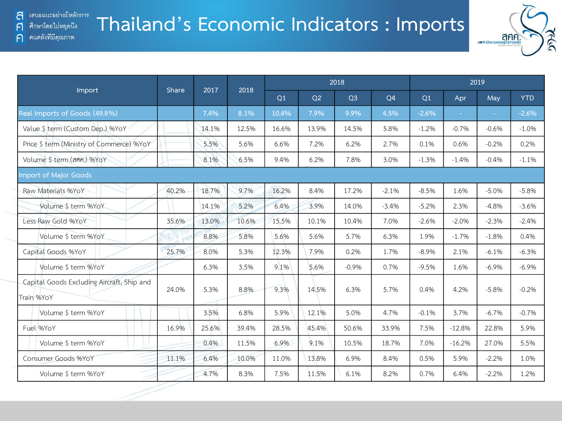คนคลังที่มีคุณภาพ

F

 $\bigcap$ 

## **Thailand's Economic Indicators : Imports**



|                                                          |       | 2017  | 2018  |       |       | 2018           |                |         |          | 2019    |            |
|----------------------------------------------------------|-------|-------|-------|-------|-------|----------------|----------------|---------|----------|---------|------------|
| Import                                                   | Share |       |       | Q1    | Q2    | Q <sub>3</sub> | O <sub>4</sub> | Q1      | Apr      | May     | <b>YTD</b> |
| Real Imports of Goods (49.8%)                            |       | 7.4%  | 8.1%  | 10.4% | 7.9%  | 9.9%           | 4.5%           | $-2.6%$ |          | $\sim$  | $-2.6%$    |
| Value \$ term (Custom Dep.) %YoY                         |       | 14.1% | 12.5% | 16.6% | 13.9% | 14.5%          | 5.8%           | $-1.2%$ | $-0.7%$  | $-0.6%$ | $-1.0%$    |
| Price \$ term (Ministry of Commerce) %YoY                |       | 5.5%  | 5.6%  | 6.6%  | 7.2%  | 6.2%           | 2.7%           | 0.1%    | 0.6%     | $-0.2%$ | 0.2%       |
| Volume \$ term (ann.) %YoY                               |       | 8.1%  | 6.5%  | 9.4%  | 6.2%  | 7.8%           | 3.0%           | $-1.3%$ | $-1.4%$  | $-0.4%$ | $-1.1%$    |
| <b>Import of Major Goods</b>                             |       |       |       |       |       |                |                |         |          |         |            |
| Raw Materials %YoY                                       | 40.2% | 18.7% | 9.7%  | 16.2% | 8.4%  | 17.2%          | $-2.1%$        | $-8.5%$ | 1.6%     | $-5.0%$ | $-5.8%$    |
| Volume \$ term %YoY                                      |       | 14.1% | 5.2%  | 6.4%  | 3.9%  | 14.0%          | $-3.4%$        | $-5.2%$ | 2.3%     | $-4.8%$ | $-3.6%$    |
| Less Raw Gold %YoY                                       | 35.6% | 13.0% | 10.6% | 15.5% | 10.1% | 10.4%          | 7.0%           | $-2.6%$ | $-2.0%$  | $-2.3%$ | $-2.4%$    |
| Volume \$ term %YoY                                      |       | 8.8%  | 5.8%  | 5.6%  | 5.6%  | 5.7%           | 6.3%           | 1.9%    | $-1.7%$  | $-1.8%$ | 0.4%       |
| Capital Goods %YoY                                       | 25.7% | 8.0%  | 5.3%  | 12.3% | 7.9%  | 0.2%           | 1.7%           | $-8.9%$ | 2.1%     | $-6.1%$ | $-6.3%$    |
| Volume \$ term %YoY                                      |       | 6.3%  | 3.5%  | 9.1%  | 5.6%  | $-0.9%$        | 0.7%           | $-9.5%$ | 1.6%     | $-6.9%$ | $-6.9%$    |
| Capital Goods Excluding Aircraft, Ship and<br>Train %YoY | 24.0% | 5.3%  | 8.8%  | 9.3%  | 14.5% | 6.3%           | 5.7%           | 0.4%    | 4.2%     | $-5.8%$ | $-0.2%$    |
| Volume \$ term %YoY                                      |       | 3.5%  | 6.8%  | 5.9%  | 12.1% | 5.0%           | 4.7%           | $-0.1%$ | 3.7%     | $-6.7%$ | $-0.7%$    |
| Fuel %YoY                                                | 16.9% | 25.6% | 39.4% | 28.5% | 45.4% | 50.6%          | 33.9%          | 7.5%    | $-12.8%$ | 22.8%   | 5.9%       |
| Volume \$ term %YoY                                      |       | 0.4%  | 11.5% | 6.9%  | 9.1%  | 10.5%          | 18.7%          | 7.0%    | $-16.2%$ | 27.0%   | 5.5%       |
| Consumer Goods %YoY                                      | 11.1% | 6.4%  | 10.0% | 11.0% | 13.8% | 6.9%           | 8.4%           | 0.5%    | 5.9%     | $-2.2%$ | 1.0%       |
| Volume \$ term %YoY                                      |       | 4.7%  | 8.3%  | 7.5%  | 11.5% | 6.1%           | 8.2%           | 0.7%    | 6.4%     | $-2.2%$ | 1.2%       |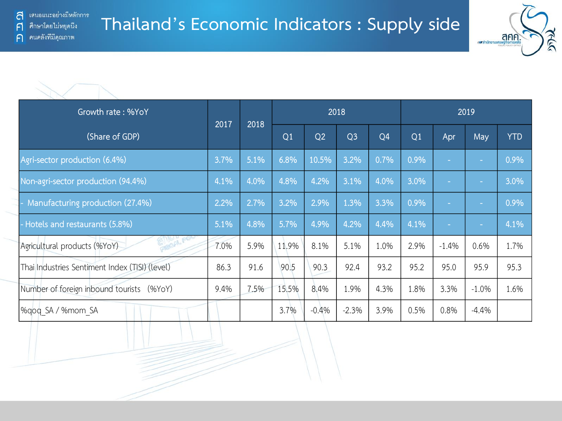

| Growth rate: %YoY                              |      |      |       |                | 2018           |                |      |         | 2019    |            |
|------------------------------------------------|------|------|-------|----------------|----------------|----------------|------|---------|---------|------------|
| (Share of GDP)                                 | 2017 | 2018 | Q1    | Q <sub>2</sub> | Q <sub>3</sub> | Q <sub>4</sub> | Q1   | Apr     | May     | <b>YTD</b> |
| Agri-sector production (6.4%)                  | 3.7% | 5.1% | 6.8%  | 10.5%          | 3.2%           | 0.7%           | 0.9% |         | $\sim$  | 0.9%       |
| Non-agri-sector production (94.4%)             | 4.1% | 4.0% | 4.8%  | 4.2%           | 3.1%           | 4.0%           | 3.0% |         |         | 3.0%       |
| Manufacturing production (27.4%)               | 2.2% | 2.7% | 3.2%  | 2.9%           | 1.3%           | 3.3%           | 0.9% |         | $\sim$  | 0.9%       |
| - Hotels and restaurants (5.8%)                | 5.1% | 4.8% | 5.7%  | 4.9%           | 4.2%           | 4.4%           | 4.1% |         |         | 4.1%       |
| GI OAS!<br>Agricultural products (%YoY)        | 7.0% | 5.9% | 11.9% | 8.1%           | 5.1%           | 1.0%           | 2.9% | $-1.4%$ | 0.6%    | 1.7%       |
| Thai Industries Sentiment Index (TISI) (level) | 86.3 | 91.6 | 90.5  | 90.3           | 92.4           | 93.2           | 95.2 | 95.0    | 95.9    | 95.3       |
| Number of foreign inbound tourists (%YoY)      | 9.4% | 7.5% | 15.5% | 8.4%           | 1.9%           | 4.3%           | 1.8% | 3.3%    | $-1.0%$ | 1.6%       |
| %qoq SA / %mom SA                              |      |      | 3.7%  | $-0.4%$        | $-2.3%$        | 3.9%           | 0.5% | 0.8%    | $-4.4%$ |            |